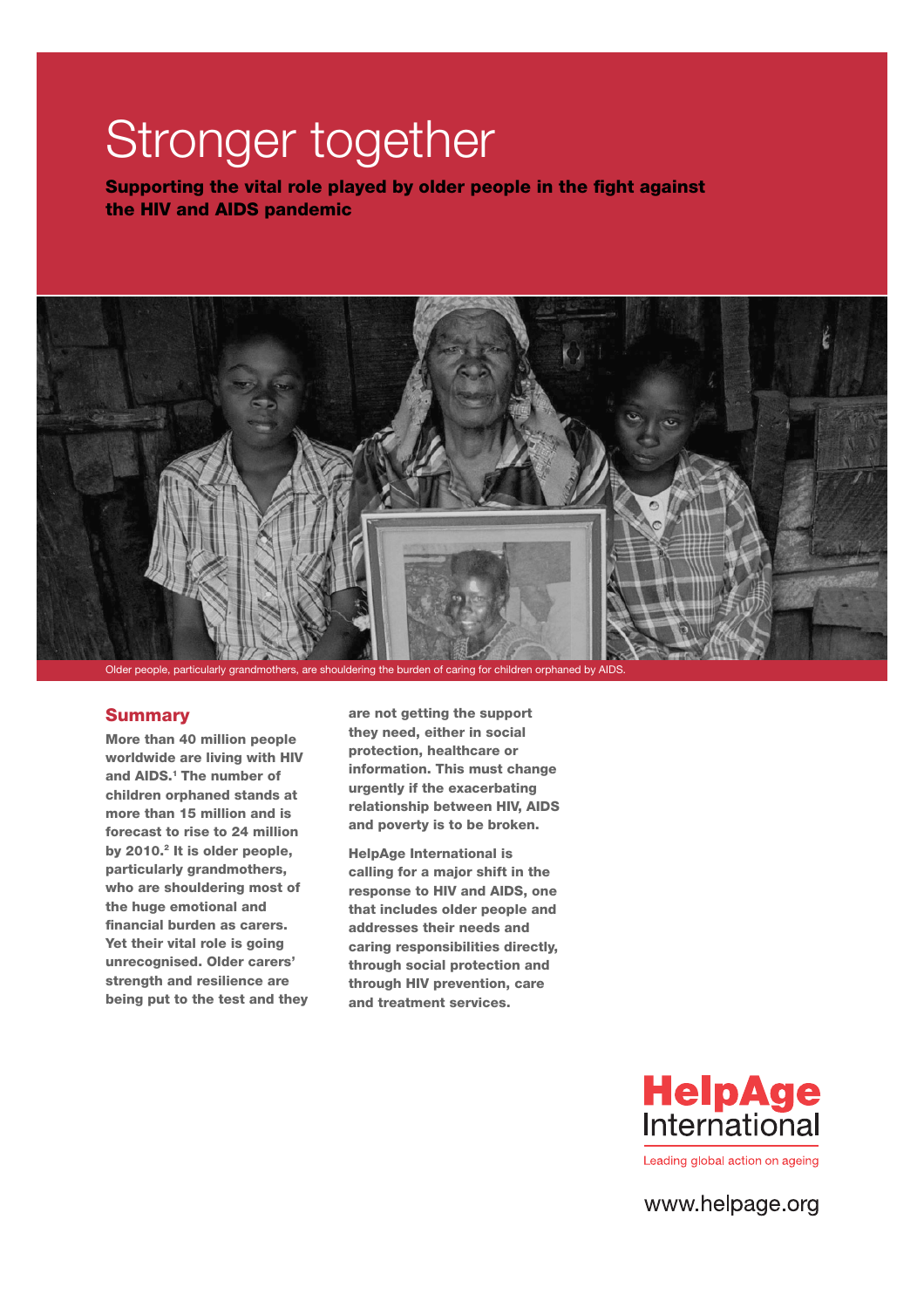# **Stronger together**

**Supporting the vital role played by older people in the fight against the HIV and AIDS pandemic**



Older people, particularly grandmothers, are shouldering the burden of caring for children orphaned by AIDS.

#### **Summary**

**More than 40 million people worldwide are living with HIV and AIDS.1 The number of children orphaned stands at more than 15 million and is forecast to rise to 24 million by 2010.2 It is older people, particularly grandmothers, who are shouldering most of the huge emotional and**  financial burden as carers. **Yet their vital role is going unrecognised. Older carers' strength and resilience are being put to the test and they**  **are not getting the support they need, either in social protection, healthcare or information. This must change urgently if the exacerbating relationship between HIV, AIDS and poverty is to be broken.** 

**HelpAge International is calling for a major shift in the response to HIV and AIDS, one that includes older people and addresses their needs and caring responsibilities directly, through social protection and through HIV prevention, care and treatment services.** 



www.helpage.org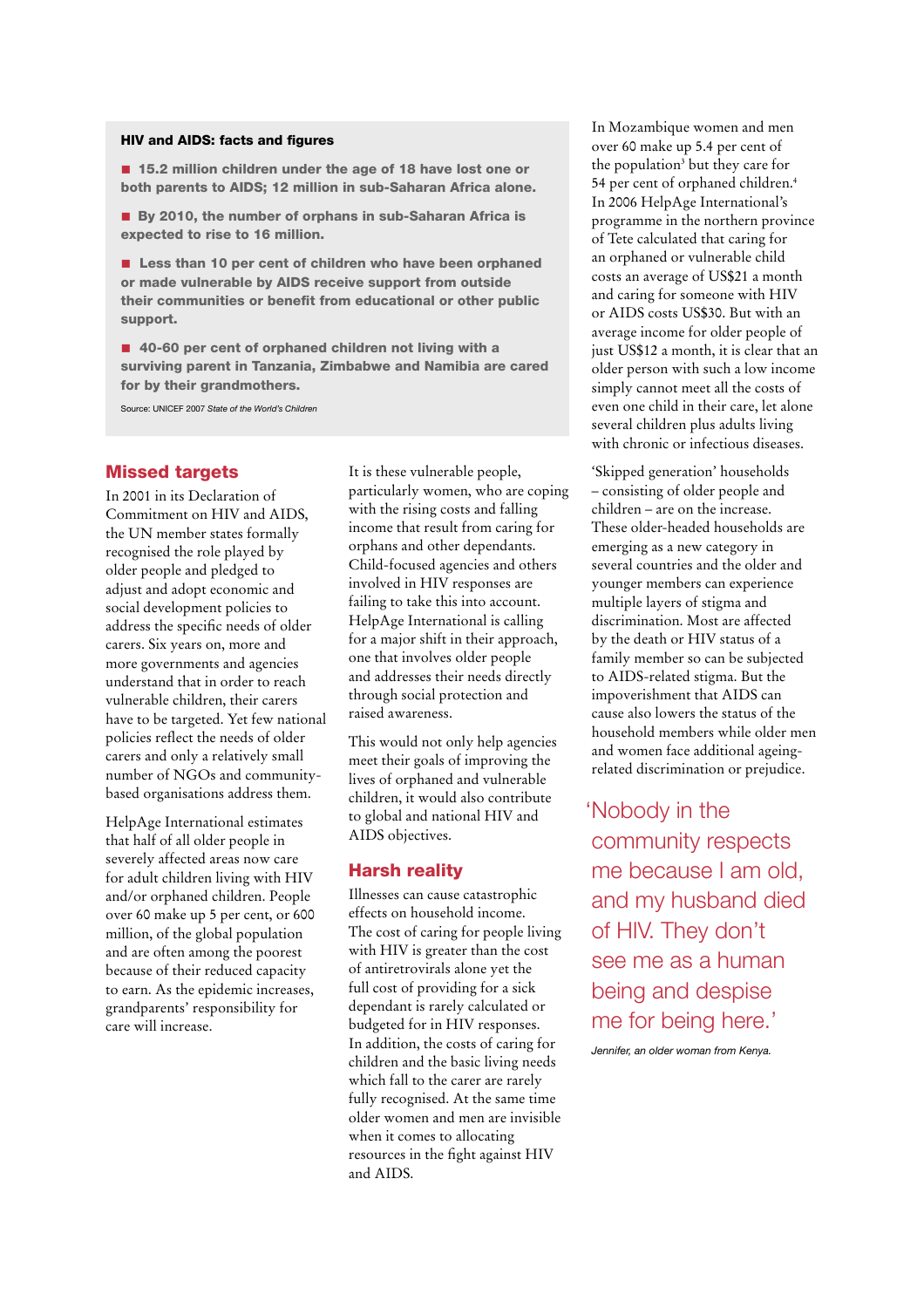#### **HIV and AIDS: facts and figures**

■ 15.2 million children under the age of 18 have lost one or **both parents to AIDS; 12 million in sub-Saharan Africa alone.** 

■ By 2010, the number of orphans in sub-Saharan Africa is **expected to rise to 16 million.** 

■ Less than 10 per cent of children who have been orphaned **or made vulnerable by AIDS receive support from outside**  their communities or benefit from educational or other public **support.** 

■ 40-60 per cent of orphaned children not living with a **surviving parent in Tanzania, Zimbabwe and Namibia are cared for by their grandmothers.**

Source: UNICEF 2007 State of the World's Children

#### **Missed targets**

In 2001 in its Declaration of Commitment on HIV and AIDS, the UN member states formally recognised the role played by older people and pledged to adjust and adopt economic and social development policies to address the specific needs of older carers. Six years on, more and more governments and agencies understand that in order to reach vulnerable children, their carers have to be targeted. Yet few national policies reflect the needs of older carers and only a relatively small number of NGOs and communitybased organisations address them.

HelpAge International estimates that half of all older people in severely affected areas now care for adult children living with HIV and/or orphaned children. People over 60 make up 5 per cent, or 600 million, of the global population and are often among the poorest because of their reduced capacity to earn. As the epidemic increases, grandparents' responsibility for care will increase.

It is these vulnerable people, particularly women, who are coping with the rising costs and falling income that result from caring for orphans and other dependants. Child-focused agencies and others involved in HIV responses are failing to take this into account. HelpAge International is calling for a major shift in their approach, one that involves older people and addresses their needs directly through social protection and raised awareness.

This would not only help agencies meet their goals of improving the lives of orphaned and vulnerable children, it would also contribute to global and national HIV and AIDS objectives.

#### **Harsh reality**

Illnesses can cause catastrophic effects on household income. The cost of caring for people living with HIV is greater than the cost of antiretrovirals alone yet the full cost of providing for a sick dependant is rarely calculated or budgeted for in HIV responses. In addition, the costs of caring for children and the basic living needs which fall to the carer are rarely fully recognised. At the same time older women and men are invisible when it comes to allocating resources in the fight against HIV and AIDS.

In Mozambique women and men over 60 make up 5.4 per cent of the population3 but they care for 54 per cent of orphaned children.4 In 2006 HelpAge International's programme in the northern province of Tete calculated that caring for an orphaned or vulnerable child costs an average of US\$21 a month and caring for someone with HIV or AIDS costs US\$30. But with an average income for older people of just US\$12 a month, it is clear that an older person with such a low income simply cannot meet all the costs of even one child in their care, let alone several children plus adults living with chronic or infectious diseases.

'Skipped generation' households – consisting of older people and children – are on the increase. These older-headed households are emerging as a new category in several countries and the older and younger members can experience multiple layers of stigma and discrimination. Most are affected by the death or HIV status of a family member so can be subjected to AIDS-related stigma. But the impoverishment that AIDS can cause also lowers the status of the household members while older men and women face additional ageingrelated discrimination or prejudice.

Nobody in the 'community respects me because I am old, and my husband died of HIV. They don't see me as a human being and despise me for being here.'

Jennifer, an older woman from Kenya.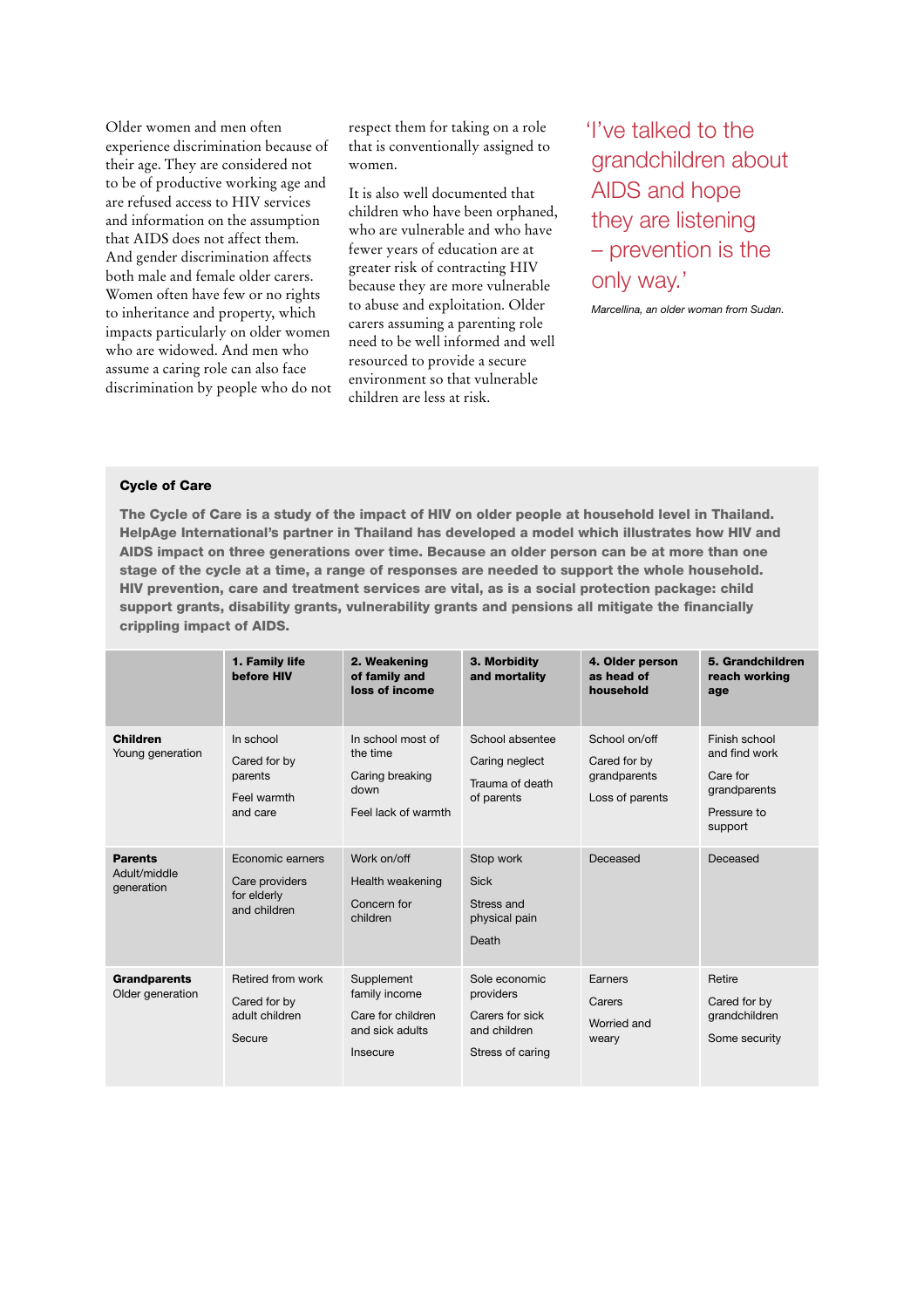Older women and men often experience discrimination because of their age. They are considered not to be of productive working age and are refused access to HIV services and information on the assumption that AIDS does not affect them. And gender discrimination affects both male and female older carers. Women often have few or no rights to inheritance and property, which impacts particularly on older women who are widowed. And men who assume a caring role can also face discrimination by people who do not respect them for taking on a role that is conventionally assigned to women.

It is also well documented that children who have been orphaned, who are vulnerable and who have fewer years of education are at greater risk of contracting HIV because they are more vulnerable to abuse and exploitation. Older carers assuming a parenting role need to be well informed and well resourced to provide a secure environment so that vulnerable children are less at risk.

'I've talked to the grandchildren about AIDS and hope they are listening – prevention is the only way.'

Marcellina, an older woman from Sudan.

#### **Cycle of Care**

**The Cycle of Care is a study of the impact of HIV on older people at household level in Thailand. HelpAge International's partner in Thailand has developed a model which illustrates how HIV and AIDS impact on three generations over time. Because an older person can be at more than one stage of the cycle at a time, a range of responses are needed to support the whole household. HIV prevention, care and treatment services are vital, as is a social protection package: child**  support grants, disability grants, vulnerability grants and pensions all mitigate the financially **crippling impact of AIDS.** 

|                                              | 1. Family life<br><b>before HIV</b>                               | 2. Weakening<br>of family and<br>loss of income                                 | 3. Morbidity<br>and mortality                                                     | 4. Older person<br>as head of<br>household                       | 5. Grandchildren<br>reach working<br>age                                             |
|----------------------------------------------|-------------------------------------------------------------------|---------------------------------------------------------------------------------|-----------------------------------------------------------------------------------|------------------------------------------------------------------|--------------------------------------------------------------------------------------|
| <b>Children</b><br>Young generation          | In school<br>Cared for by<br>parents<br>Feel warmth<br>and care   | In school most of<br>the time<br>Caring breaking<br>down<br>Feel lack of warmth | School absentee<br>Caring neglect<br>Trauma of death<br>of parents                | School on/off<br>Cared for by<br>grandparents<br>Loss of parents | Finish school<br>and find work<br>Care for<br>grandparents<br>Pressure to<br>support |
| <b>Parents</b><br>Adult/middle<br>generation | Economic earners<br>Care providers<br>for elderly<br>and children | Work on/off<br>Health weakening<br>Concern for<br>children                      | Stop work<br><b>Sick</b><br>Stress and<br>physical pain<br>Death                  | Deceased                                                         | Deceased                                                                             |
| <b>Grandparents</b><br>Older generation      | Retired from work<br>Cared for by<br>adult children<br>Secure     | Supplement<br>family income<br>Care for children<br>and sick adults<br>Insecure | Sole economic<br>providers<br>Carers for sick<br>and children<br>Stress of caring | Earners<br>Carers<br>Worried and<br>weary                        | Retire<br>Cared for by<br>grandchildren<br>Some security                             |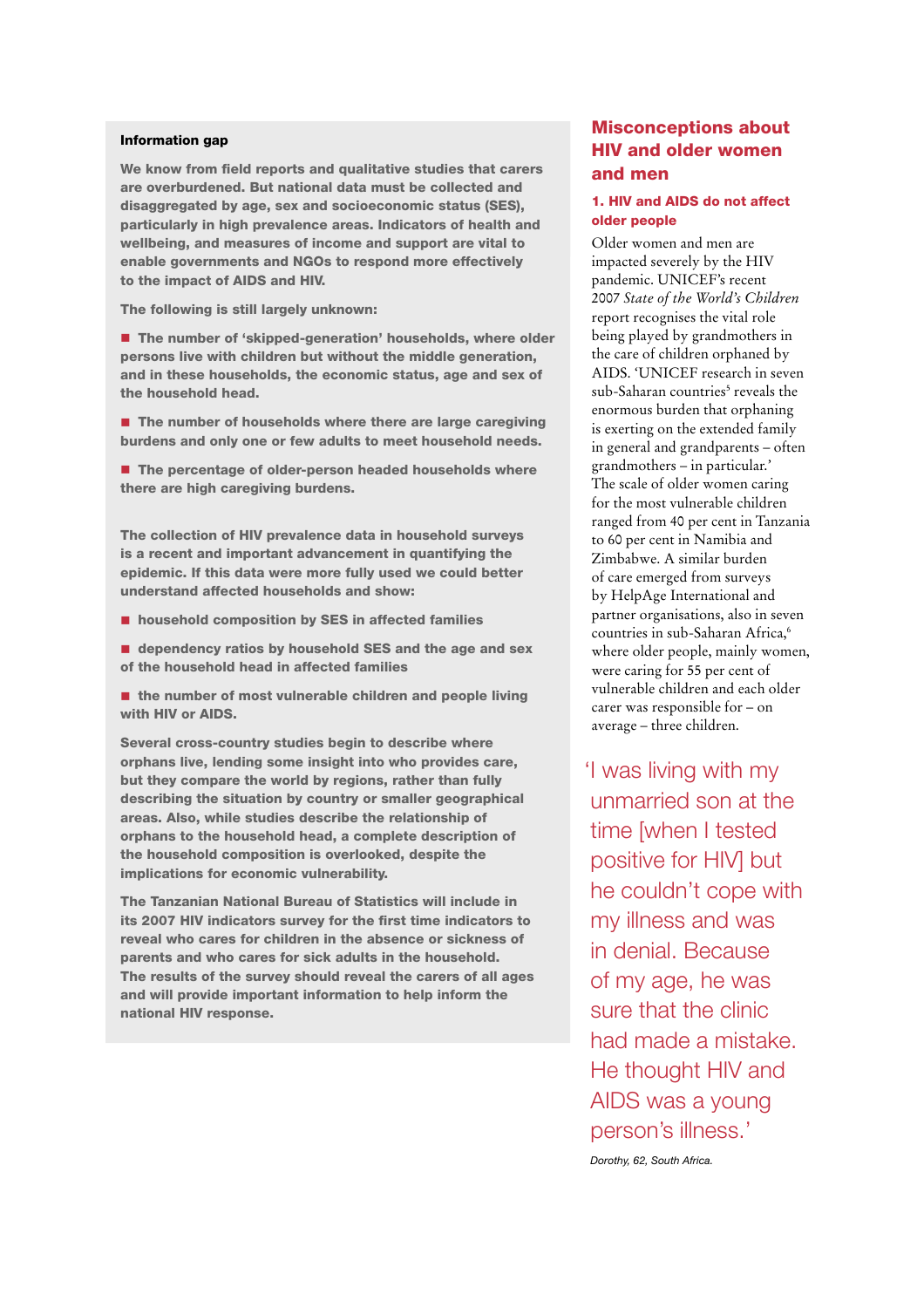#### **Information gap**

We know from field reports and qualitative studies that carers **are overburdened. But national data must be collected and disaggregated by age, sex and socioeconomic status (SES), particularly in high prevalence areas. Indicators of health and wellbeing, and measures of income and support are vital to enable governments and NGOs to respond more effectively to the impact of AIDS and HIV.** 

**The following is still largely unknown:** 

■ The number of 'skipped-generation' households, where older **persons live with children but without the middle generation, and in these households, the economic status, age and sex of the household head.**

■ The number of households where there are large caregiving **burdens and only one or few adults to meet household needs.**

■ The percentage of older-person headed households where **there are high caregiving burdens.**

**The collection of HIV prevalence data in household surveys is a recent and important advancement in quantifying the epidemic. If this data were more fully used we could better understand affected households and show:** 

■ household composition by SES in affected families

■ dependency ratios by household SES and the age and sex **of the household head in affected families** 

■ the number of most vulnerable children and people living **with HIV or AIDS.**

**Several cross-country studies begin to describe where orphans live, lending some insight into who provides care, but they compare the world by regions, rather than fully describing the situation by country or smaller geographical areas. Also, while studies describe the relationship of orphans to the household head, a complete description of the household composition is overlooked, despite the implications for economic vulnerability.** 

**The Tanzanian National Bureau of Statistics will include in its 2007 HIV indicators survey for the first time indicators to reveal who cares for children in the absence or sickness of parents and who cares for sick adults in the household. The results of the survey should reveal the carers of all ages and will provide important information to help inform the national HIV response.**

# **Misconceptions about HIV and older women and men**

#### **1. HIV and AIDS do not affect older people**

Older women and men are impacted severely by the HIV pandemic. UNICEF's recent 2007 *State of the World's Children* report recognises the vital role being played by grandmothers in the care of children orphaned by AIDS. 'UNICEF research in seven sub-Saharan countries<sup>5</sup> reveals the enormous burden that orphaning is exerting on the extended family in general and grandparents – often grandmothers – in particular.' The scale of older women caring for the most vulnerable children ranged from 40 per cent in Tanzania to 60 per cent in Namibia and Zimbabwe. A similar burden of care emerged from surveys by HelpAge International and partner organisations, also in seven countries in sub-Saharan Africa,6 where older people, mainly women, were caring for 55 per cent of vulnerable children and each older carer was responsible for – on average – three children.

'I was living with my unmarried son at the time [when I tested positive for HIV] but he couldn't cope with my illness and was in denial. Because of my age, he was sure that the clinic had made a mistake. He thought HIV and AIDS was a young person's illness.'

Dorothy, 62, South Africa.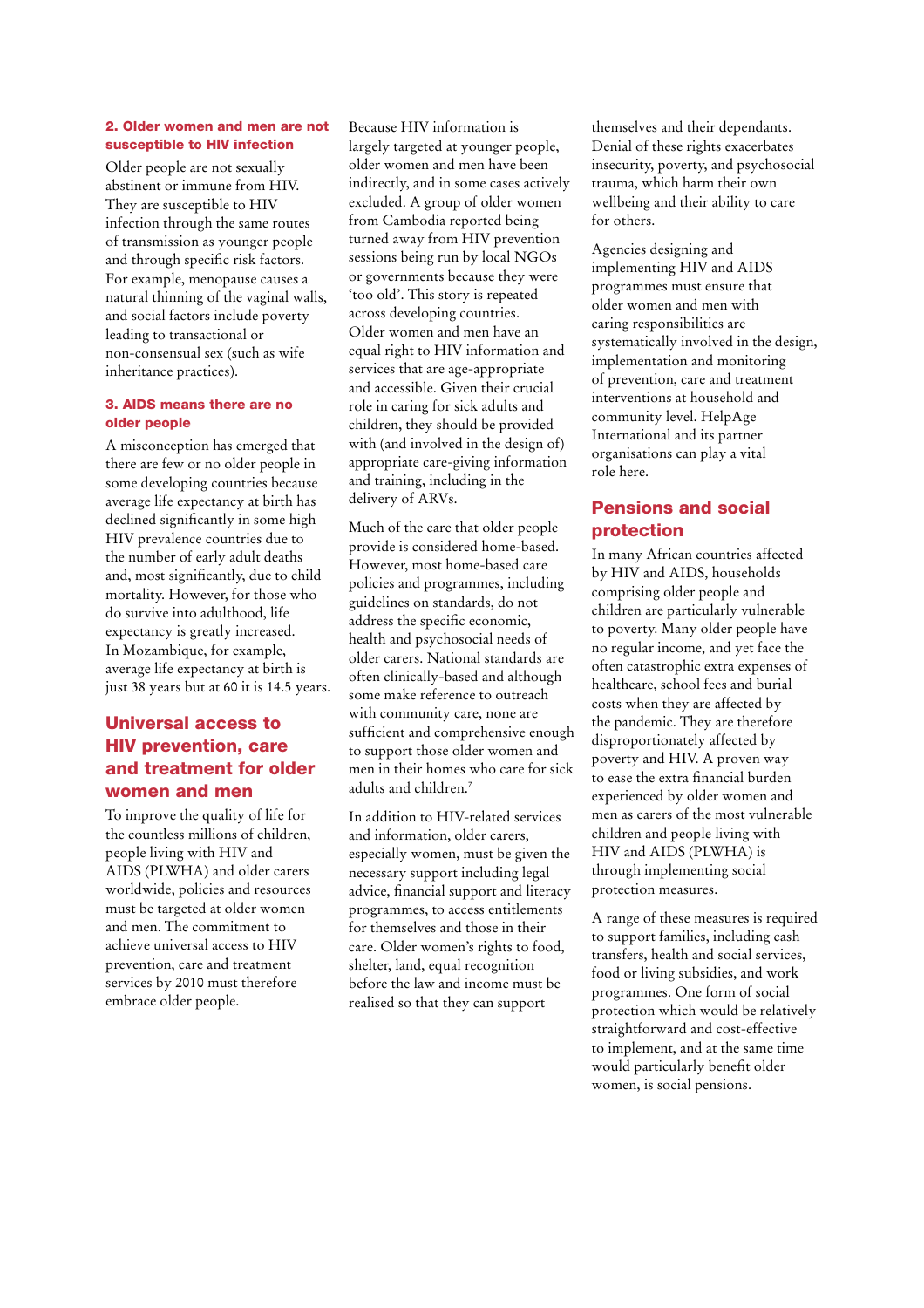#### **2. Older women and men are not susceptible to HIV infection**

Older people are not sexually abstinent or immune from HIV. They are susceptible to HIV infection through the same routes of transmission as younger people and through specific risk factors. For example, menopause causes a natural thinning of the vaginal walls, and social factors include poverty leading to transactional or non-consensual sex (such as wife inheritance practices).

#### **3. AIDS means there are no older people**

A misconception has emerged that there are few or no older people in some developing countries because average life expectancy at birth has declined significantly in some high HIV prevalence countries due to the number of early adult deaths and, most significantly, due to child mortality. However, for those who do survive into adulthood, life expectancy is greatly increased. In Mozambique, for example, average life expectancy at birth is just 38 years but at 60 it is 14.5 years.

# **Universal access to HIV prevention, care and treatment for older women and men**

To improve the quality of life for the countless millions of children, people living with HIV and AIDS (PLWHA) and older carers worldwide, policies and resources must be targeted at older women and men. The commitment to achieve universal access to HIV prevention, care and treatment services by 2010 must therefore embrace older people.

Because HIV information is largely targeted at younger people, older women and men have been indirectly, and in some cases actively excluded. A group of older women from Cambodia reported being turned away from HIV prevention sessions being run by local NGOs or governments because they were 'too old'. This story is repeated across developing countries. Older women and men have an equal right to HIV information and services that are age-appropriate and accessible. Given their crucial role in caring for sick adults and children, they should be provided with (and involved in the design of) appropriate care-giving information and training, including in the delivery of ARVs.

Much of the care that older people provide is considered home-based. However, most home-based care policies and programmes, including guidelines on standards, do not address the specific economic, health and psychosocial needs of older carers. National standards are often clinically-based and although some make reference to outreach with community care, none are sufficient and comprehensive enough to support those older women and men in their homes who care for sick adults and children.7

In addition to HIV-related services and information, older carers, especially women, must be given the necessary support including legal advice, financial support and literacy programmes, to access entitlements for themselves and those in their care. Older women's rights to food, shelter, land, equal recognition before the law and income must be realised so that they can support

themselves and their dependants. Denial of these rights exacerbates insecurity, poverty, and psychosocial trauma, which harm their own wellbeing and their ability to care for others.

Agencies designing and implementing HIV and AIDS programmes must ensure that older women and men with caring responsibilities are systematically involved in the design, implementation and monitoring of prevention, care and treatment interventions at household and community level. HelpAge International and its partner organisations can play a vital role here.

# **Pensions and social protection**

In many African countries affected by HIV and AIDS, households comprising older people and children are particularly vulnerable to poverty. Many older people have no regular income, and yet face the often catastrophic extra expenses of healthcare, school fees and burial costs when they are affected by the pandemic. They are therefore disproportionately affected by poverty and HIV. A proven way to ease the extra financial burden experienced by older women and men as carers of the most vulnerable children and people living with HIV and AIDS (PLWHA) is through implementing social protection measures.

A range of these measures is required to support families, including cash transfers, health and social services, food or living subsidies, and work programmes. One form of social protection which would be relatively straightforward and cost-effective to implement, and at the same time would particularly benefit older women, is social pensions.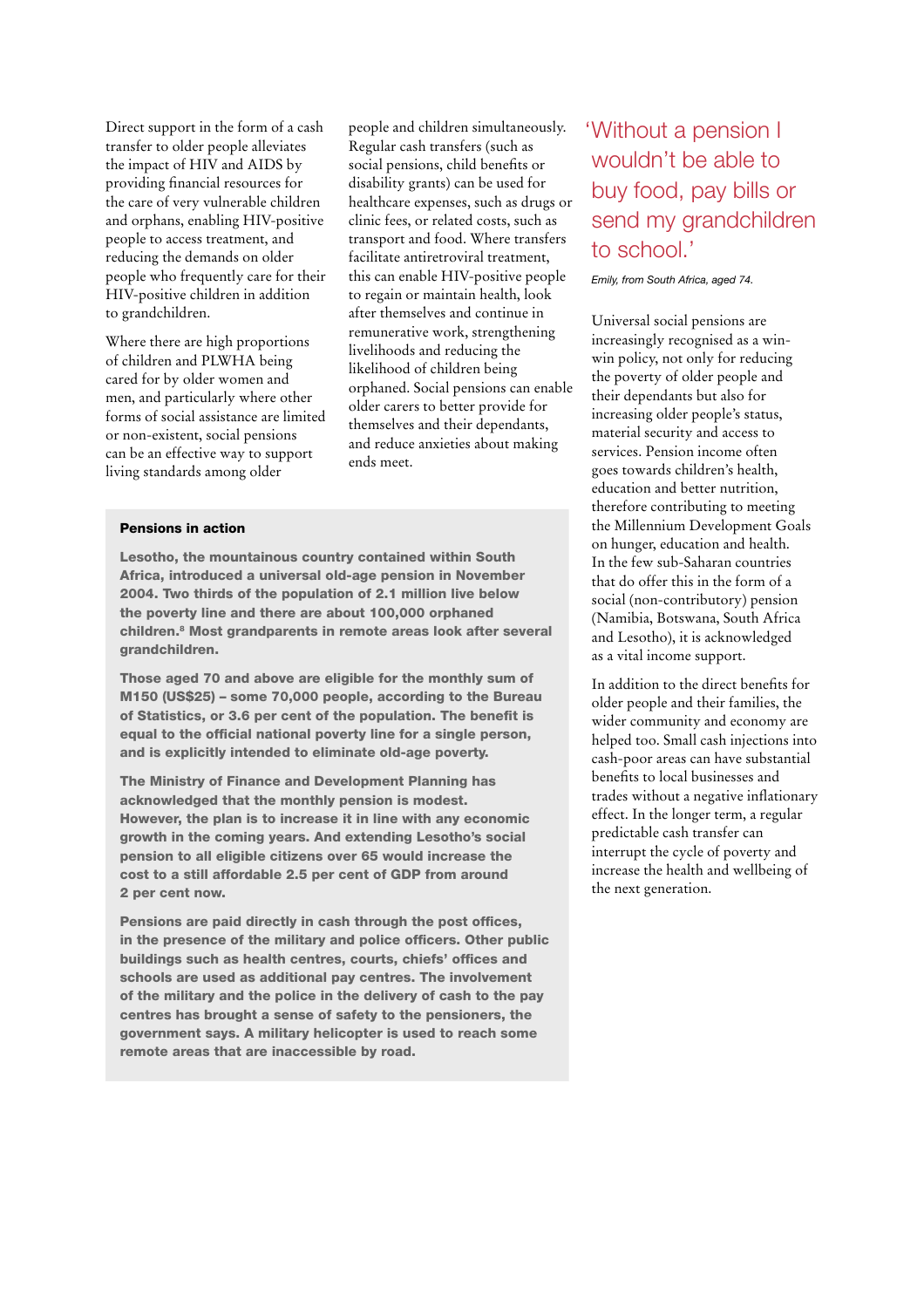Direct support in the form of a cash transfer to older people alleviates the impact of HIV and AIDS by providing financial resources for the care of very vulnerable children and orphans, enabling HIV-positive people to access treatment, and reducing the demands on older people who frequently care for their HIV-positive children in addition to grandchildren.

Where there are high proportions of children and PLWHA being cared for by older women and men, and particularly where other forms of social assistance are limited or non-existent, social pensions can be an effective way to support living standards among older

people and children simultaneously. Regular cash transfers (such as social pensions, child benefits or disability grants) can be used for healthcare expenses, such as drugs or clinic fees, or related costs, such as transport and food. Where transfers facilitate antiretroviral treatment, this can enable HIV-positive people to regain or maintain health, look after themselves and continue in remunerative work, strengthening livelihoods and reducing the likelihood of children being orphaned. Social pensions can enable older carers to better provide for themselves and their dependants, and reduce anxieties about making ends meet.

#### **Pensions in action**

**Lesotho, the mountainous country contained within South Africa, introduced a universal old-age pension in November 2004. Two thirds of the population of 2.1 million live below the poverty line and there are about 100,000 orphaned children.8 Most grandparents in remote areas look after several grandchildren.** 

**Those aged 70 and above are eligible for the monthly sum of M150 (US\$25) – some 70,000 people, according to the Bureau**  of Statistics, or 3.6 per cent of the population. The benefit is equal to the official national poverty line for a single person, **and is explicitly intended to eliminate old-age poverty.**

**The Ministry of Finance and Development Planning has acknowledged that the monthly pension is modest. However, the plan is to increase it in line with any economic growth in the coming years. And extending Lesotho's social pension to all eligible citizens over 65 would increase the cost to a still affordable 2.5 per cent of GDP from around 2 per cent now.** 

Pensions are paid directly in cash through the post offices, in the presence of the military and police officers. Other public buildings such as health centres, courts, chiefs' offices and **schools are used as additional pay centres. The involvement of the military and the police in the delivery of cash to the pay centres has brought a sense of safety to the pensioners, the government says. A military helicopter is used to reach some remote areas that are inaccessible by road.**

# Without a pension I 'wouldn't be able to buy food, pay bills or send my grandchildren to school.'

Emily, from South Africa, aged 74.

Universal social pensions are increasingly recognised as a winwin policy, not only for reducing the poverty of older people and their dependants but also for increasing older people's status, material security and access to services. Pension income often goes towards children's health, education and better nutrition, therefore contributing to meeting the Millennium Development Goals on hunger, education and health. In the few sub-Saharan countries that do offer this in the form of a social (non-contributory) pension (Namibia, Botswana, South Africa and Lesotho), it is acknowledged as a vital income support.

In addition to the direct benefits for older people and their families, the wider community and economy are helped too. Small cash injections into cash-poor areas can have substantial benefits to local businesses and trades without a negative inflationary effect. In the longer term, a regular predictable cash transfer can interrupt the cycle of poverty and increase the health and wellbeing of the next generation.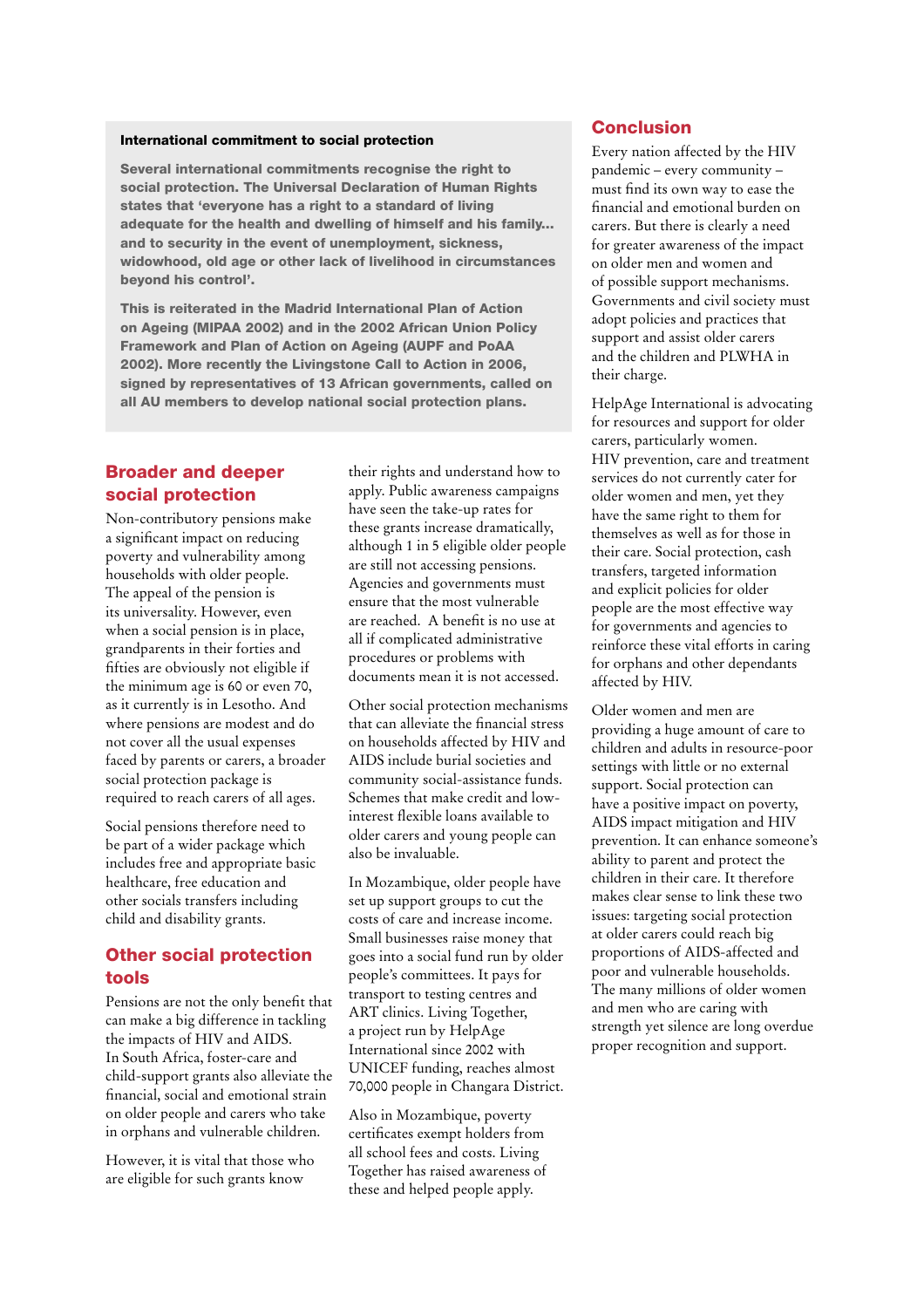#### **International commitment to social protection**

**Several international commitments recognise the right to social protection. The Universal Declaration of Human Rights states that 'everyone has a right to a standard of living adequate for the health and dwelling of himself and his family... and to security in the event of unemployment, sickness, widowhood, old age or other lack of livelihood in circumstances beyond his control'.**

**This is reiterated in the Madrid International Plan of Action on Ageing (MIPAA 2002) and in the 2002 African Union Policy Framework and Plan of Action on Ageing (AUPF and PoAA 2002). More recently the Livingstone Call to Action in 2006, signed by representatives of 13 African governments, called on all AU members to develop national social protection plans.**

# **Broader and deeper social protection**

Non-contributory pensions make a significant impact on reducing poverty and vulnerability among households with older people. The appeal of the pension is its universality. However, even when a social pension is in place, grandparents in their forties and fifties are obviously not eligible if the minimum age is 60 or even 70, as it currently is in Lesotho. And where pensions are modest and do not cover all the usual expenses faced by parents or carers, a broader social protection package is required to reach carers of all ages.

Social pensions therefore need to be part of a wider package which includes free and appropriate basic healthcare, free education and other socials transfers including child and disability grants.

### **Other social protection tools**

Pensions are not the only benefit that can make a big difference in tackling the impacts of HIV and AIDS. In South Africa, foster-care and child-support grants also alleviate the financial, social and emotional strain on older people and carers who take in orphans and vulnerable children.

However, it is vital that those who are eligible for such grants know

their rights and understand how to apply. Public awareness campaigns have seen the take-up rates for these grants increase dramatically, although 1 in 5 eligible older people are still not accessing pensions. Agencies and governments must ensure that the most vulnerable are reached. A benefit is no use at all if complicated administrative procedures or problems with documents mean it is not accessed.

Other social protection mechanisms that can alleviate the financial stress on households affected by HIV and AIDS include burial societies and community social-assistance funds. Schemes that make credit and lowinterest flexible loans available to older carers and young people can also be invaluable.

In Mozambique, older people have set up support groups to cut the costs of care and increase income. Small businesses raise money that goes into a social fund run by older people's committees. It pays for transport to testing centres and ART clinics. Living Together, a project run by HelpAge International since 2002 with UNICEF funding, reaches almost 70,000 people in Changara District.

Also in Mozambique, poverty certificates exempt holders from all school fees and costs. Living Together has raised awareness of these and helped people apply.

# **Conclusion**

Every nation affected by the HIV pandemic – every community – must find its own way to ease the fi nancial and emotional burden on carers. But there is clearly a need for greater awareness of the impact on older men and women and of possible support mechanisms. Governments and civil society must adopt policies and practices that support and assist older carers and the children and PLWHA in their charge.

HelpAge International is advocating for resources and support for older carers, particularly women. HIV prevention, care and treatment services do not currently cater for older women and men, yet they have the same right to them for themselves as well as for those in their care. Social protection, cash transfers, targeted information and explicit policies for older people are the most effective way for governments and agencies to reinforce these vital efforts in caring for orphans and other dependants affected by HIV.

Older women and men are providing a huge amount of care to children and adults in resource-poor settings with little or no external support. Social protection can have a positive impact on poverty, AIDS impact mitigation and HIV prevention. It can enhance someone's ability to parent and protect the children in their care. It therefore makes clear sense to link these two issues: targeting social protection at older carers could reach big proportions of AIDS-affected and poor and vulnerable households. The many millions of older women and men who are caring with strength yet silence are long overdue proper recognition and support.